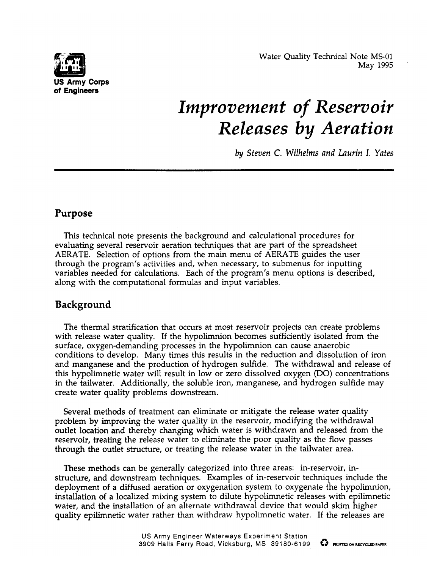

Water Quality Technical Note MS-01 . May 1995

# *Improvement of Reservoir*  $\emph{Releases}$  by  $\emph{Aeration}$

*by Steven C. Wilhelms and Luurin 1. Yates*

## **Purpose**

This technical note presents the background and calculational procedures for evaluating several reservoir aeration techniques that are part of the spreadsheet AERATE. Selection of options from the main menu of AER4TE guides the user through the program's activities and, when necessary, to submenus for inputting variables needed for calculations. Each of the program's menu options is described, along with the computational formulas and input variables.

# **Background**

The thermal stratification that occurs at most reservoir projects can create problems with release water quality. If the hypolimnion becomes sufficiently isolated from the surface, oxygen-demanding processes in the hypolimnion can cause anaerobic conditions to develop. Many times this results in the reduction and dissolution of iron and manganese and the production of hydrogen sulfide. The withdrawal and release of this hypolimnetic water will result in low or zero dissolved oxygen  $(DO)$  concentrations in the tailwater. Additionally, the soluble iron, manganese, and hydrogen sulfide may create water quality problems downstream.

Several methods of treatment can eliminate or mitigate the release water quality problem by improving the water quality in the reservoir, modifying the withdrawal outlet location and thereby changing which water is withdrawn and released from the reservoir, treating the release water to eliminate the poor quality as the flow passes through the outlet structure, or treating the release water in the tailwater area.

These methods can be generally categorized into three areas: in-reservoir, instructure, and downstream techniques. Examples of in-reservoir techniques include the deployment of a diffused aeration or oxygenation system to oxygenate the hypolimnion, installation of a localized mixing system to dilute hypolimnetic releases with epilimnetic water, and the installation of an alternate withdrawal device that would skim higher quality epilimnetic water rather than withdraw hypolimnetic water. If the releases are

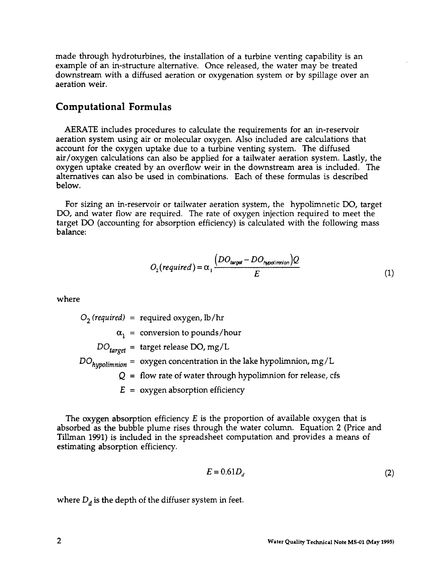made through hydroturbines, the installation of a turbine venting capability is an example of an in-structure alternative. Once released, the water may be treated downstream with a diffused aeration or oxygenation system or by spillage over an aeration weir.

#### **Computational Formulas**

AERATE includes procedures to calculate the requirements for an in-reservoir aeration system using air or molecular oxygen. Also included are calculations that account for the oxygen uptake due to a turbine venting system. The diffused air/oxygen calculations can also be applied for a tailwater aeration system. Lastly, the oxygen uptake created by an overflow weir in the downstream area is included. The alternatives can also be used in combinations. Each of these formulas is described below.

For sizing an in-reservoir or tailwater aeration system, the hypolimnetic DO, target DO, and water flow are required. The rate of oxygen injection required to meet the target DO (accounting for absorption efficiency) is calculated with the following mass balance:

$$
O_2(required) = \alpha_1 \frac{\left(DO_{target} - DO_{hypoliminon}\right)Q}{E}
$$
 (1)

where

02 *(required) =* required oxygen, lb /hr  $\alpha^{}_{1}$  = conversion to pounds/hou *DO<sub>target</sub>* = target release DO, mg/L *DO<sub>hynolimnion* = oxygen concentration in the lake hypolimnion, mg/I</sub> **Q=** flow rate of water through hypolirnnion for release, cfs *E=* oxygen absorption efficiency

The oxygen absorption efficiency  $E$  is the proportion of available oxygen that is absorbed as the bubble plume rises through the water column. Equation 2 (Price and Tillman 1991) is included in the spreadsheet computation and provides a means of estimating absorption efficiency.

$$
E = 0.61D_d \tag{2}
$$

where  $D_d$  is the depth of the diffuser system in feet.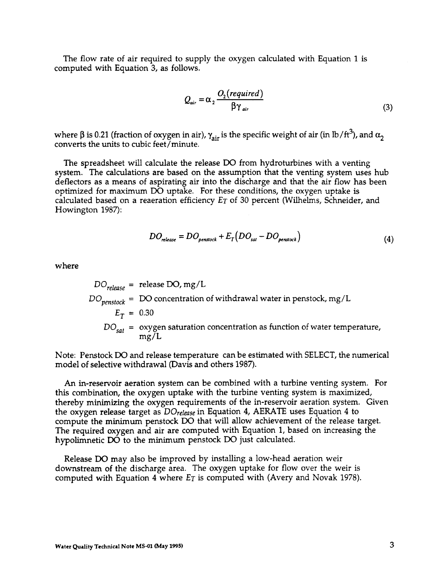The flow rate of air required to supply the oxygen calculated with Equation 1 is computed with Equation 3, as follows.

$$
Q_{air} = \alpha_2 \frac{O_2(required)}{\beta \gamma_{air}}
$$
 (3)

where  $\beta$  is 0.21 (fraction of oxygen in air),  $\gamma_{air}$  is the specific weight of air (in lb/ft<sup>3</sup>), and  $\alpha_2$ converts the units to cubic feet/minute.

The spreadsheet will calculate the release DO from hydroturbines with a venting system. The calculations are based on the assumption that the venting system uses hub deflectors as a means of aspirating air into the discharge and that the air flow has been optimized for maximum DO uptake. For these conditions, the oxygen uptake is calculated based on a reaeration efficiency *ET* of 30 percent (Wilhelms, Schneider, and Howington 1987):

$$
DO_{release} = DO_{penslock} + E_T (DO_{sal} - DO_{penslock})
$$
\n(4)

where

$$
DO_{release}
$$
 = release DO, mg/L  
\n $DO_{penstock}$  = DO concentration of withdrawal water in penslock, mg/L  
\n $E_T$  = 0.30  
\n $DO_{sat}$  = oxygen saturation concentration as function of water temperature,  
\nmg/L

Note: Penstock DO and release temperature can be estimated with SELECT, the numerical model of selective withdrawal (Davis and others 1987).

An in-reservoir aeration system can be combined with a turbine venting system. For this combination, the oxygen uptake with the turbine venting system is maximized, thereby minimizing the oxygen requirements of the in-reservoir aeration system. Given the oxygen release target as *DOre~se* in **Equation 4, AERATE Uses Equation 4 to** compute the minimum penstock DO that will allow achievement of the release target. The required oxygen and air are computed with Equation 1, based on increasing the hypolimnetic DO to the minimum penstock DO just calculated.

Release DO may also be improved by installing a low-head aeration weir downstream of the discharge area. The oxygen uptake for flow over the weir is computed with Equation 4 where *ET* is computed with (Avery and Novak 1978).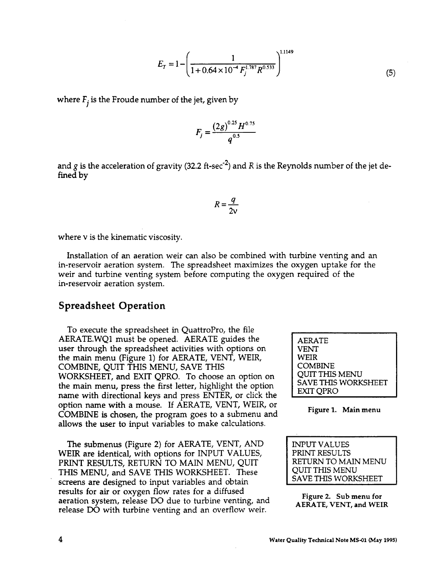$$
E_T = 1 - \left(\frac{1}{1 + 0.64 \times 10^{-4} F_j^{1.787} R^{0.533}}\right)^{1.1149}
$$
\n(5)

where  $F_i$  is the Froude number of the jet, given by

$$
F_j = \frac{\left(2g\right)^{0.25}H^{0.75}}{q^{0.5}}
$$

and g is the acceleration of gravity (32.2 ft-sec<sup>-2</sup>) and R is the Reynolds number of the jet defined by

$$
R = \frac{q}{2v}
$$

where v is the kinematic viscosity.

Installation of an aeration weir can also be combined with turbine venting and an in-reservoir aeration system. The spreadsheet maximizes the oxygen uptake for the weir and turbine venting system before computing the oxygen required of the in-reservoir aeration system.

#### **Spreadsheet Operation**

To execute the spreadsheet in QuattroPro, the file AERATE.WQ1 must be opened. AERATE guides the user through the spreadsheet activities with options on the main menu (Figure 1) for AERATE, VENT, WEIR, COMBINE, QUIT THIS MENU, SAVE THIS WORKSHEET, and EXIT QPRO. To choose an option on the main menu, press the first letter, highlight the option name with directional keys and press ENTER, or click the option name with a mouse. If AERATE, VENT, WEIR, or COMBINE is chosen, the program goes to a submenu and allows the user to input variables to make calculations.

The submenus (Figure 2) for AERATE, VENT, AND INPUT VALUES WEIR are identical, with options for INPUT VALUES, FRINT RESULTS<br>PRINT RESULTS, RETURN TO MAIN MENU, OUIT PRINT RESULTS, RETURN TO MAIN MENU, QUIT RETURN TO MAIN THIS MENU THIS MENU, and SAVE THIS WORKSHEET. These QUIT THIS MENU<br>screens are designed to input variables and obtain screens are designed to input variables and obtain results for air or oxygen flow rates for a diffused  $\frac{1}{2}$  results for all of  $\frac{1}{2}$  or  $\frac{1}{2}$  figure 2. Sub menu for aeration system, release DO due to turbine venting, and  $\frac{1}{4}$  FPATE VENT and WEI **release DO with turbine venting and** an overflow weir.

AERATE VENT WEIR COMBINE QUIT THIS MENU SAVE THIS WORKSHEET EXIT C)PRO

#### **Figure 1. Main menu**

**AERATE, VENT, and WEIR**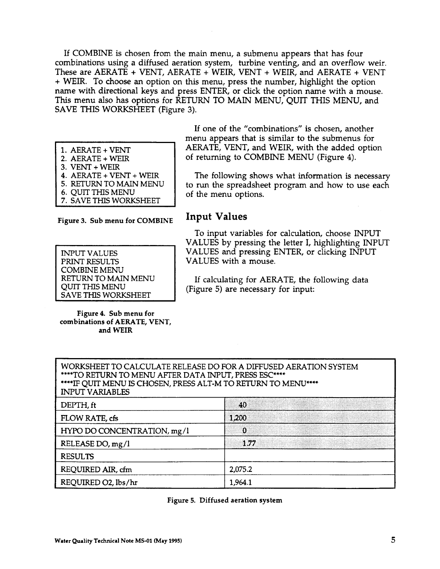If COMBINE is chosen from the main menu, a submenu appears that has four combinations using a diffused aeration system, turbine venting, and an overflow weir. These are AERATE + VENT, AERATE + WEIR, VENT + WEIR, and AERATE + VENT + WEIR. To choose an option on this menu, press the number, highlight the option name with directional keys and press ENTER, or click the option name with a mouse. This menu also has options for RETURN TO MAIN MENU, QUIT THIS MENU, and SAVE THIS WORKSHEET (Figure 3).

#### 1. AERATE + VENT

- **2.** AER4TE + WELR
- **3.** VENT + WEIR
- **4.** AERATE + VENT+ WEIR **5.** RETURN TO MAIN MENU
- **6.** QUIT THIS MENU
- **7.** SAVE THIS WORKSHEET

**Figure 3. Sub menu for COMBINE**

| <b>INPUT VALUES</b>        |
|----------------------------|
| <b>PRINT RESULTS</b>       |
| <b>COMBINE MENU</b>        |
| <b>RETURN TO MAIN MENU</b> |
| <b>QUIT THIS MENU</b>      |
| <b>SAVE THIS WORKSHEET</b> |

**Figure 4. Sub menu for combinations of AERATE, VENT, and WEIR**

If one of the "combinations" is chosen, another menu appears that is similar to the submenus for AERATE, VENT, and WEIR, with the added option of returning to COMBINE MENU (Figure 4).

The following shows what information is necessary to run the spreadsheet program and how to use each of the menu options.

### **Input Values**

To input variables for calculation, choose INPUT VALUES by pressing the letter I, highlighting INPUT VALUES and pressing ENTER, or clicking INPUT VALUES with a mouse.

If calculating for AERATE, the following data (Figure 5) are necessary for input:

| WORKSHEET TO CALCULATE RELEASE DO FOR A DIFFUSED AERATION SYSTEM<br>****TO RETURN TO MENU AFTER DATA INPUT, PRESS ESC****<br>****IF QUIT MENU IS CHOSEN, PRESS ALT-M TO RETURN TO MENU****<br><b>INPUT VARIABLES</b> |          |  |
|----------------------------------------------------------------------------------------------------------------------------------------------------------------------------------------------------------------------|----------|--|
| DEPTH, ft                                                                                                                                                                                                            | 40       |  |
| FLOW RATE, cfs                                                                                                                                                                                                       | 1,200    |  |
| HYPO DO CONCENTRATION, mg/l                                                                                                                                                                                          | $\Omega$ |  |
| RELEASE DO, mg/l                                                                                                                                                                                                     | 1.77     |  |
| <b>RESULTS</b>                                                                                                                                                                                                       |          |  |
| 2,075.2<br>REQUIRED AIR, cfm                                                                                                                                                                                         |          |  |
| REQUIRED O2, lbs/hr                                                                                                                                                                                                  | 1,964.1  |  |

Figure 5. Diffused aeration system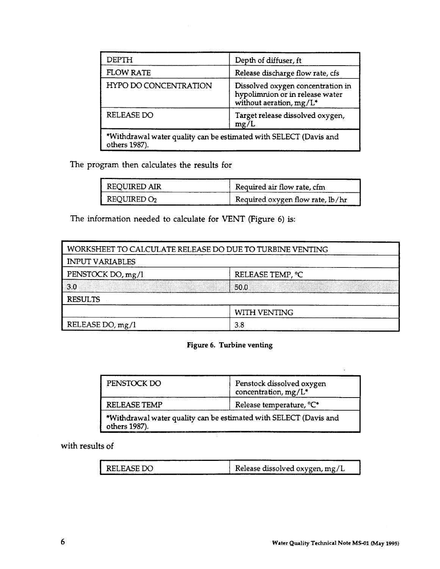| DEPTH                                                                              | Depth of diffuser, ft                                                                           |
|------------------------------------------------------------------------------------|-------------------------------------------------------------------------------------------------|
| <b>FLOW RATE</b>                                                                   | Release discharge flow rate, cfs                                                                |
| <b>HYPO DO CONCENTRATION</b>                                                       | Dissolved oxygen concentration in<br>hypolimnion or in release water<br>without aeration, mg/L* |
| <b>RELEASE DO</b>                                                                  | Target release dissolved oxygen,<br>mg/L                                                        |
| *Withdrawal water quality can be estimated with SELECT (Davis and<br>others 1987). |                                                                                                 |

The program then calculates the results for

| <b>REQUIRED AIR</b>     | Required air flow rate, cfm      |
|-------------------------|----------------------------------|
| REQUIRED O <sub>2</sub> | Required oxygen flow rate, lb/hr |

The information needed to calculate for VENT (Figure 6) is:

| WORKSHEET TO CALCULATE RELEASE DO DUE TO TURBINE VENTING |                  |  |
|----------------------------------------------------------|------------------|--|
| <b>INPUT VARIABLES</b>                                   |                  |  |
| PENSTOCK DO, mg/l                                        | RELEASE TEMP, °C |  |
| 3.0                                                      | 50.0             |  |
| <b>RESULTS</b>                                           |                  |  |
| WITH VENTING                                             |                  |  |
| RELEASE DO, mg/l                                         | 3.8              |  |

#### **Figure 6. Turbine venting**

| PENSTOCK DO                                                                        | Penstock dissolved oxygen<br>concentration, mg/L <sup>*</sup> |
|------------------------------------------------------------------------------------|---------------------------------------------------------------|
| <b>RELEASE TEMP</b>                                                                | Release temperature, °C*                                      |
| *Withdrawal water quality can be estimated with SELECT (Davis and<br>others 1987). |                                                               |

with results of

| RELEASE DO | Release dissolved oxygen, mg/L |
|------------|--------------------------------|
|            |                                |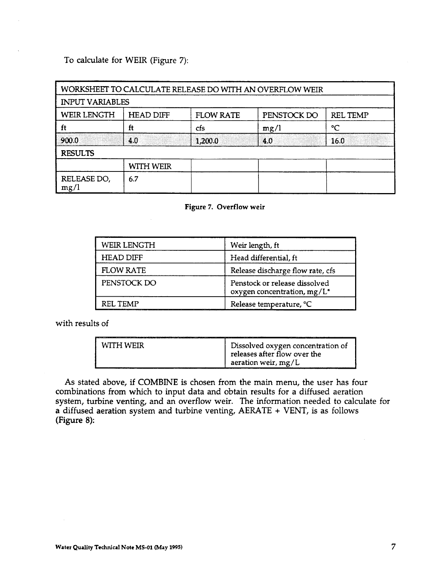To calculate for WEIR (Figure 7):

|                        |                  |                  | WORKSHEET TO CALCULATE RELEASE DO WITH AN OVERFLOW WEIR |                 |
|------------------------|------------------|------------------|---------------------------------------------------------|-----------------|
| <b>INPUT VARIABLES</b> |                  |                  |                                                         |                 |
| <b>WEIR LENGTH</b>     | <b>HEAD DIFF</b> | <b>FLOW RATE</b> | PENSTOCK DO                                             | <b>REL TEMP</b> |
| ft                     | ft               | cfs              | mg/l                                                    | °C              |
| 900.0                  | 4.0              | 1,200.0          | 4.0                                                     | 16.0            |
| <b>RESULTS</b>         |                  |                  |                                                         |                 |
|                        | WITH WEIR        |                  |                                                         |                 |
| RELEASE DO,<br>mg/l    | 6.7              |                  |                                                         |                 |



| <b>WEIR LENGTH</b> | Weir length, ft                                              |
|--------------------|--------------------------------------------------------------|
| <b>HEAD DIFF</b>   | Head differential, ft                                        |
| <b>FLOW RATE</b>   | Release discharge flow rate, cfs                             |
| PENSTOCK DO        | Penstock or release dissolved<br>oxygen concentration, mg/L* |
| RFL TFMP           | Release temperature, °C                                      |

with results of

| WITH WEIR | Dissolved oxygen concentration of<br>releases after flow over the |
|-----------|-------------------------------------------------------------------|
|           | aeration weir, $mg/L$                                             |

As stated above, if COMBINE is chosen from the main menu, the user has four combinations from which to input data and obtain results for a diffused aeration system, turbine venting, and an overflow weir. The information needed to calculate for a diffused aeration system and turbine venting, AERATE + VENT, is as follows (Figure 8):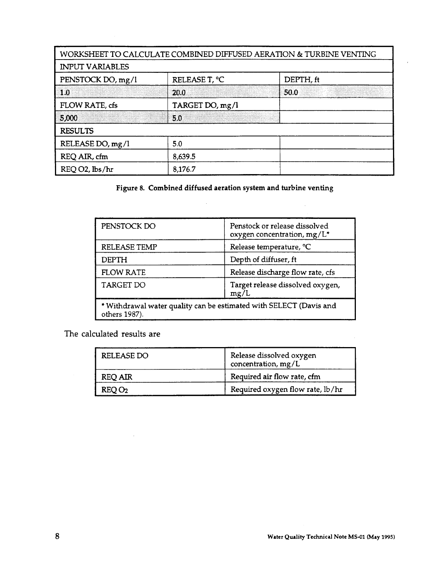|                        |                 | WORKSHEET TO CALCULATE COMBINED DIFFUSED AERATION & TURBINE VENTING |
|------------------------|-----------------|---------------------------------------------------------------------|
| <b>INPUT VARIABLES</b> |                 |                                                                     |
| PENSTOCK DO, mg/l      | RELEASE T, °C   | DEPTH, ft                                                           |
| 1.0                    | 20.0            | 50.0                                                                |
| FLOW RATE, cfs         | TARGET DO, mg/l |                                                                     |
| 5,000                  | 5.0             |                                                                     |
| <b>RESULTS</b>         |                 |                                                                     |
| RELEASE DO, mg/l       | 5.0             |                                                                     |
| REQ AIR, cfm           | 8,639.5         |                                                                     |
| REQ O2, lbs/hr         | 8,176.7         |                                                                     |

**Figure 8. Combined diffused aeration system and turbine venting**

 $\ddot{\phantom{a}}$ 

| PENSTOCK DO      | Penstock or release dissolved<br>oxygen concentration, mg/L*       |
|------------------|--------------------------------------------------------------------|
| RELEASE TEMP     | Release temperature, °C                                            |
| DEPTH            | Depth of diffuser, ft                                              |
| <b>FLOW RATE</b> | Release discharge flow rate, cfs                                   |
| TARGET DO        | Target release dissolved oxygen,<br>mg/L                           |
| others 1987).    | * Withdrawal water quality can be estimated with SELECT (Davis and |

The calculated results are

 $\mathcal{L}$ 

| <b>RELEASE DO</b> | Release dissolved oxygen<br>concentration, $mg/L$ |
|-------------------|---------------------------------------------------|
| <b>REQ AIR</b>    | Required air flow rate, cfm                       |
| REQO <sub>2</sub> | Required oxygen flow rate, lb/hr                  |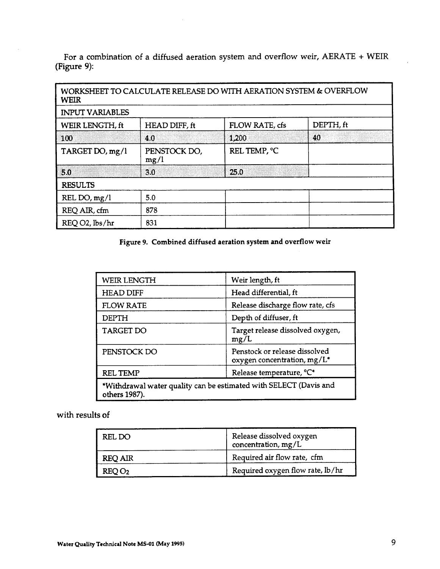For a combination of a diffused aeration system and overflow weir,  $AERATE + WEIR$ (Figure 9):

| <b>WEIR</b>            |                      | WORKSHEET TO CALCULATE RELEASE DO WITH AERATION SYSTEM & OVERFLOW |           |
|------------------------|----------------------|-------------------------------------------------------------------|-----------|
| <b>INPUT VARIABLES</b> |                      |                                                                   |           |
| WEIR LENGTH, ft        | HEAD DIFF, ft        | FLOW RATE, cfs                                                    | DEPTH, ft |
| 100                    | 4.0                  | 1,200                                                             | 40        |
| TARGET DO, mg/l        | PENSTOCK DO,<br>mg/l | REL TEMP, °C                                                      |           |
| 5.0                    | 3.0                  | 25.0                                                              |           |
| <b>RESULTS</b>         |                      |                                                                   |           |
| REL DO, mg/l           | 5.0                  |                                                                   |           |
| REQ AIR, cfm           | 878                  |                                                                   |           |
| REQ O2, lbs/hr         | 831                  |                                                                   |           |

**Figure 9. Combined diffused aeration system and overflow weir**

| <b>WEIR LENGTH</b>                                                                 | Weir length, ft                                              |  |
|------------------------------------------------------------------------------------|--------------------------------------------------------------|--|
| <b>HEAD DIFF</b>                                                                   | Head differential, ft                                        |  |
| <b>FLOW RATE</b>                                                                   | Release discharge flow rate, cfs                             |  |
| <b>DEPTH</b>                                                                       | Depth of diffuser, ft                                        |  |
| <b>TARGET DO</b>                                                                   | Target release dissolved oxygen,<br>mg/L                     |  |
| PENSTOCK DO                                                                        | Penstock or release dissolved<br>oxygen concentration, mg/L* |  |
| <b>REL TEMP</b>                                                                    | Release temperature, °C*                                     |  |
| *Withdrawal water quality can be estimated with SELECT (Davis and<br>others 1987). |                                                              |  |

with results of

| REL DO            | Release dissolved oxygen<br>concentration, $mg/L$ |
|-------------------|---------------------------------------------------|
| <b>REQ AIR</b>    | Required air flow rate, cfm                       |
| REQO <sub>2</sub> | Required oxygen flow rate, lb/hr                  |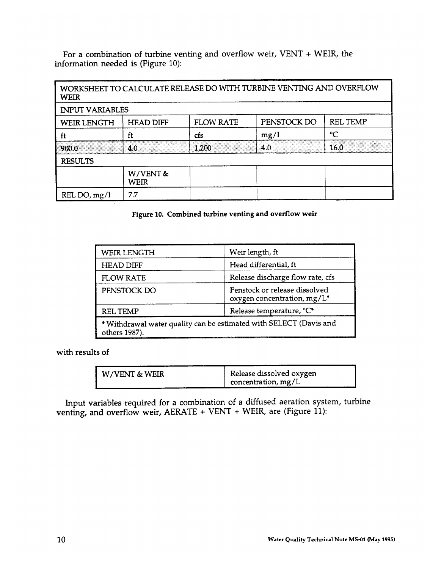For a combination of turbine venting and overflow weir, VENT + WEIR, the information needed is (Figure 10):

| <b>WEIR</b>            |                  |                  | WORKSHEET TO CALCULATE RELEASE DO WITH TURBINE VENTING AND OVERFLOW |                 |
|------------------------|------------------|------------------|---------------------------------------------------------------------|-----------------|
| <b>INPUT VARIABLES</b> |                  |                  |                                                                     |                 |
| <b>WEIR LENGTH</b>     | <b>HEAD DIFF</b> | <b>FLOW RATE</b> | PENSTOCK DO                                                         | <b>REL TEMP</b> |
| ft                     | ft               | cfs              | mg/l                                                                | °C              |
| 900.0                  | 4.0              | 1,200            | 4.0                                                                 | 16.0            |
| <b>RESULTS</b>         |                  |                  |                                                                     |                 |
|                        | W/VENT &<br>WEIR |                  |                                                                     |                 |
| REL DO, $mg/l$         | 7.7              |                  |                                                                     |                 |

**Figure 10. Combined turbine venting and overflow weir**

| WEIR LENGTH                                                                         | Weir length, ft                                              |
|-------------------------------------------------------------------------------------|--------------------------------------------------------------|
| <b>HEAD DIFF</b>                                                                    | Head differential, ft                                        |
| <b>FLOW RATE</b>                                                                    | Release discharge flow rate, cfs                             |
| PENSTOCK DO                                                                         | Penstock or release dissolved<br>oxygen concentration, mg/L* |
| Release temperature, °C*<br><b>REL TEMP</b>                                         |                                                              |
| * Withdrawal water quality can be estimated with SELECT (Davis and<br>others 1987). |                                                              |

with results of

| concentration, $mg/L$ | W/VENT & WEIR | Release dissolved oxygen |
|-----------------------|---------------|--------------------------|
|-----------------------|---------------|--------------------------|

Input variables required for a combination of a diffused aeration system, turbine venting, and overflow weir, AERATE + VENT + WEIR, are (Figure 11):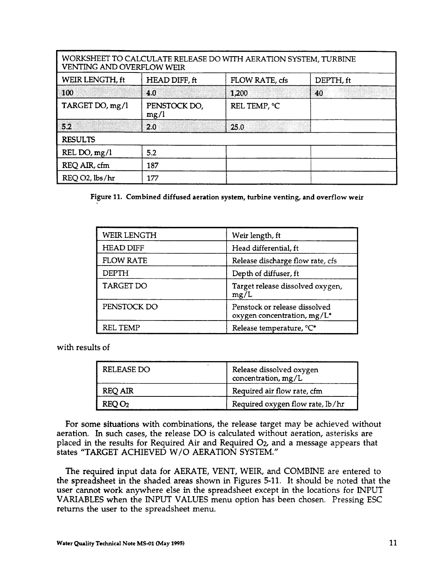| <b>VENTING AND OVERFLOW WEIR</b> |                      | WORKSHEET TO CALCULATE RELEASE DO WITH AERATION SYSTEM, TURBINE |           |
|----------------------------------|----------------------|-----------------------------------------------------------------|-----------|
| WEIR LENGTH, ft                  | HEAD DIFF, ft        | FLOW RATE, cfs                                                  | DEPTH, ft |
| 100                              | 4.0                  | 1,200                                                           | 40        |
| TARGET DO, mg/l                  | PENSTOCK DO,<br>mg/l | REL TEMP, °C                                                    |           |
| 52                               | 2.0                  | 25.0                                                            |           |
| <b>RESULTS</b>                   |                      |                                                                 |           |
| REL DO, mg/l                     | 5.2                  |                                                                 |           |
| REQ AIR, cfm                     | 187                  |                                                                 |           |
| REQ O2, lbs/hr                   | 177                  |                                                                 |           |

**Figure 11. Combined diffused aeration system, turbine venting, and overflow weir**

| WEIR LENGTH      | Weir length, ft                                              |
|------------------|--------------------------------------------------------------|
| <b>HEAD DIFF</b> | Head differential, ft                                        |
| <b>FLOW RATE</b> | Release discharge flow rate, cfs                             |
| DEPTH            | Depth of diffuser, ft                                        |
| <b>TARGET DO</b> | Target release dissolved oxygen,<br>mg/L                     |
| PENSTOCK DO      | Penstock or release dissolved<br>oxygen concentration, mg/L* |
| REL TEMP         | Release temperature, °C*                                     |

with results of

| RELEASE DO        | Release dissolved oxygen<br>concentration, mg/L |
|-------------------|-------------------------------------------------|
| <b>REQ AIR</b>    | Required air flow rate, cfm                     |
| REOO <sub>2</sub> | Required oxygen flow rate, lb/hr                |

For some situations with combinations, the release target may be achieved without aeration. In such cases, the release DO is calculated without aeration, asterisks are placed in the results for Required Air and Required O<sub>2</sub>, and a message appears that states "TARGET ACHIEVED W/O AERATION SYSTEM."

The required input data for AERATE, VENT, WEIR, and COMBINE are entered to the spreadsheet in the shaded areas shown in Figures 5-11. It should be noted that the user cannot work anywhere else in the spreadsheet except in the locations for INPUT VARIABLES when the INPUT VALUES menu option has been chosen. Pressing ESC returns the user to the spreadsheet menu.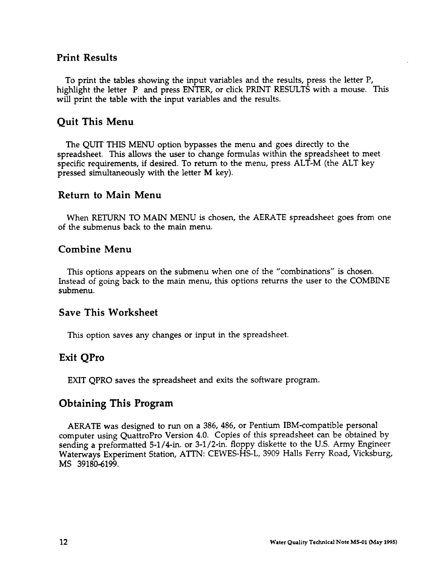#### **Print Results**

To print the tables showing the input variables and the results, press the letter P, highlight the letter P and press ENTER, or click PRINT RESULTS with a mouse. This will print the table with the input variables and the results.

### **Quit This Menu**

The QUIT THIS MENU option bypasses the menu and goes directly to the spreadsheet. This allows the user to change formulas within the spreadsheet to meet specific requirements, if desired, To return to the menu, press ALT-M (the ALT key pressed simultaneously with the letter **M** key).

#### **Return to Main Menu**

When RETURN TO MAIN MENU is chosen, the AERATE spreadsheet goes from one of the submenus back to the main menu.

### **Combine Menu**

This options appears on the submenu when one of the "combinations" is chosen. Instead of going back to the main menu, this options returns the user to the COMBINE submenu.

### **Save This Worksheet**

This option saves any changes or input in the spreadsheet.

### **Exit QPro**

EXIT QPRO saves the spreadsheet and exits the software program.

### **Obtaining This Program**

AERATE was designed to run on a 386, 486, or Pentium IBM-compatible personal computer using QuattroPro Version 4.0. Copies of this spreadsheet can be obtained by sending a preformatted 5-1/4-in. or 3-1/2-in. floppy diskette to the U.S. Army Engineer Waterways Experiment Station, ATTN: CEWES-HS-L, 3909 Halls Ferry Road, Vicksburg, MS 39180-6199.